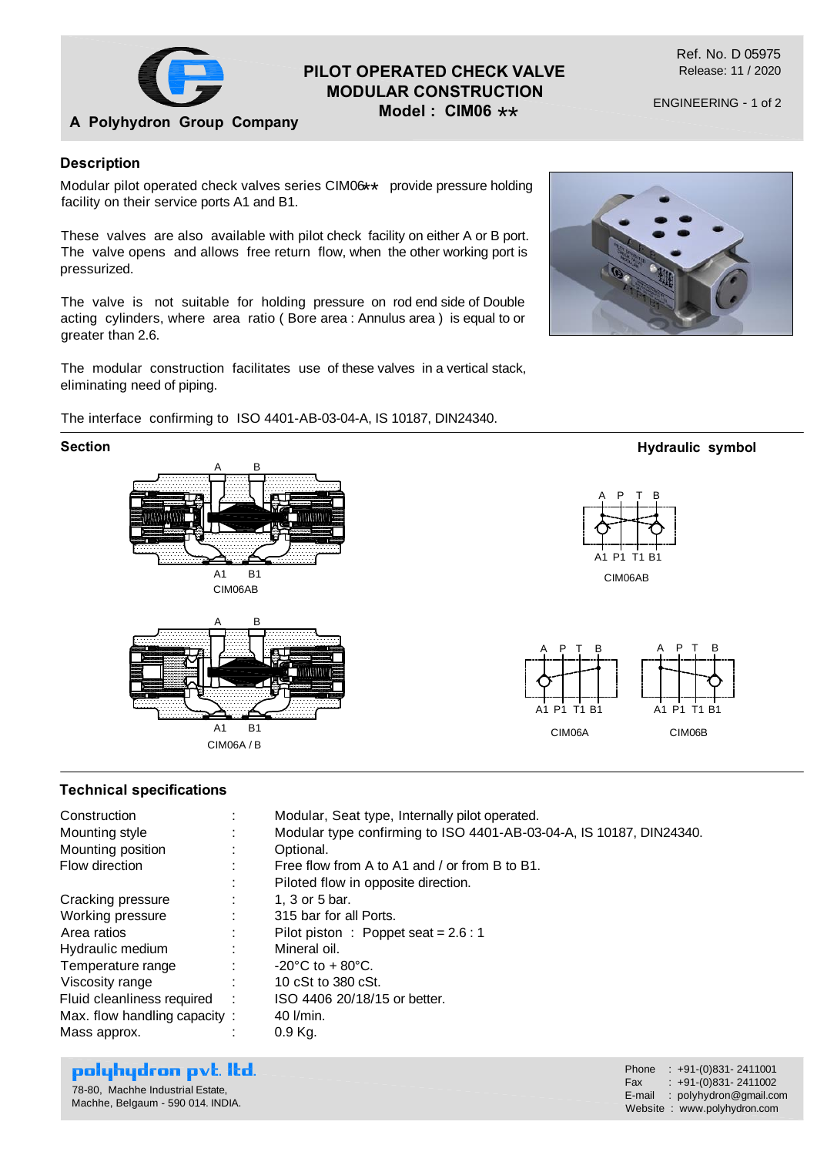

**A Polyhydron Group Company**

## **PILOT OPERATED CHECK VALVE MODULAR CONSTRUCTION**

**Model : CIM06** \*\*

ENGINEERING - 1 of 2

#### **Description**

Modular pilot operated check valves series CIM06 \*\* provide pressure holding<br>fosility on their consise parts 44 and B4 facility on their service ports A1 and B1.

These valves are also available with pilot check facility on either A or B port. The valve opens and allows free return flow, when the other working port is pressurized.

The valve is not suitable for holding pressure on rod end side of Double acting cylinders, where area ratio ( Bore area : Annulus area ) is equal to or greater than 2.6.

The modular construction facilitates use of these valves in a vertical stack, eliminating need of piping.

#### The interface confirming to ISO 4401-AB-03-04-A, IS 10187, DIN24340.



## **Technical specifications**

| Construction<br>Mounting style<br>Mounting position<br>Flow direction | $\bullet$ | Modular, Seat type, Internally pilot operated.<br>Modular type confirming to ISO 4401-AB-03-04-A, IS 10187, DIN24340.<br>Optional.<br>Free flow from A to A1 and / or from B to B1.<br>Piloted flow in opposite direction. |
|-----------------------------------------------------------------------|-----------|----------------------------------------------------------------------------------------------------------------------------------------------------------------------------------------------------------------------------|
| Cracking pressure                                                     |           | 1, 3 or 5 bar.                                                                                                                                                                                                             |
| Working pressure                                                      |           | 315 bar for all Ports.                                                                                                                                                                                                     |
| Area ratios                                                           | ÷         | Pilot piston : Poppet seat = $2.6:1$                                                                                                                                                                                       |
| Hydraulic medium                                                      | ÷         | Mineral oil.                                                                                                                                                                                                               |
| Temperature range                                                     | ÷         | $-20^{\circ}$ C to $+80^{\circ}$ C.                                                                                                                                                                                        |
| Viscosity range                                                       | ÷         | 10 cSt to 380 cSt.                                                                                                                                                                                                         |
| Fluid cleanliness required :                                          |           | ISO 4406 20/18/15 or better.                                                                                                                                                                                               |
| Max. flow handling capacity:                                          |           | 40 l/min.                                                                                                                                                                                                                  |
| Mass approx.                                                          |           | $0.9$ Kg.                                                                                                                                                                                                                  |

# polyhydron pvt. Itd.

78-80, Machhe Industrial Estate, Machhe, Belgaum - 590 014. INDIA. Phone : +91-(0)831- 2411001 Fax :  $+91-(0)831-2411002$ E-mail : polyhydron@gmail.com Website : www.polyhydron.com